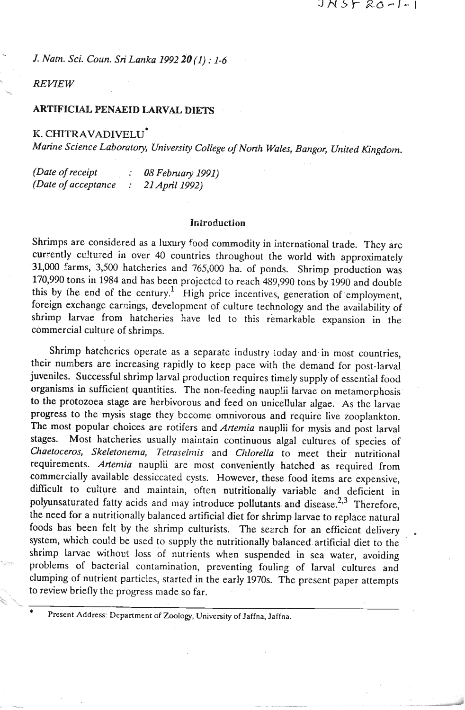*J. Natn. Sci. Coun. Sri Lanka* 1992 *28 (1)* : 1-6

**REVIEW** 

# **ARTIFICIAL PENAEID LARVAL DIETS**

**K.** CHITRAVADIVELU\*

*Marine Science Laboratory, Universiry College of North Wales, Bangor, United Kingdom.* 

| (Date of receipt     | 08 February 1991) |
|----------------------|-------------------|
| (Date of acceptance) | 21 April 1992)    |

### Introduction

Shrimps are considered as a luxury food commodity in international trade. They are currently cultured in over 40 countries throughout the world with approximately 31,000 farms, 3,500 hatcheries and 765,000 ha. of ponds. Shrimp production was 170,990 tons in 1984 and has been projected to reach 489,990 tons by 1990 and double this by the end of the century.<sup>1</sup> High price incentives, generation of employment, foreign exchange earnings, development of culture technology and the availability of shrimp larvae from hatcheries have led to this remarkable expansion in the commercial culture of shrimps.

Shrimp hatcheries operate as a separate industry today and in most countries, their numbers are increasing rapidly ro keep pace with the demand for post-larval juveniles. Successful shrimp larval production requires timely supply of essential food organisms **in** sufficient quantities. The non-feeding nauplii larvae on metamorphosis to the protozoea stage are herbivorous and feed on unicellular algae. As the larvae progress to the mysis stage they become omnivorous and require live zooplankton. The most popular choices are rotifers and *Artemia* nauplii for mysis and post larval stages. Most hatcheries usually maintain continuous algal cultures of species of *Chaetoceros, Skeletonema, Tetraselmis* and *Chlorella* to meet their nutritional requirements. *Artemia* nauplii are most conveniently hatched as required from commercially available dessiccated cysts. However, these food items are expensive, difficult to culture and maintain, often nutritionally variable and deficient in polyunsaturated fatty acids and may introduce pollutants and disease.<sup>2,3</sup> Therefore, the need for a nutritionally balanced artificial diet for shrimp larvae to replace natural foods has been felt by the shrimp culturists. The search for an efficient delivery system, which could be used to supply the nutritionally balanced artificial diet to the shrimp larvae without loss of nutrients when suspended in sea water, avoiding problems of bacterial contamination, preventing fouling of larval cultures and clumping of nutrient particles, started in the early 1970s. The present paper attempts to review briefly the progress made so far. \*' .. \* **Present Address. Department of Zoology, University of Jaffna, Jaffna.**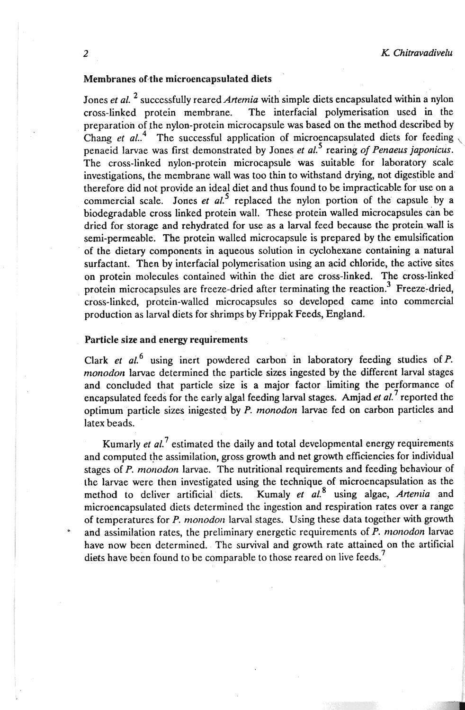# Membranes of the microencapsulated diets

Jones *et al.* <sup>2</sup> successfully reared *Artemia* with simple diets encapsulated within a nylon cross-linked protein membrane. The interfacial polymerisation used in the preparation of the nylon-protein microcapsule was based on the method described by Chang  $et al.<sup>4</sup>$ . The successful application of microencapsulated diets for feeding penaeid larvae was first demonstrated by Jones *et al.<sup>5</sup>* rearing *of Penaeus japonicus*. The cross-linked nylon-protein microcapsule was suitable for laboratory scale investigations, the membrane wall was too thin to withstand drying, not digestible and therefore did not provide an ideal diet and thus found to be impracticable for use on a commercial scale. Jones et al.<sup>5</sup> replaced the nylon portion of the capsule by a biodegradable cross linked protein wall. These protein walled microcapsules can be dried for storage and rehydrated for use as a larval feed because the protein wall is semi-permeable. The protein walled microcapsule is prepared by the emulsification of the dietary components in aqueous solution in cyclohexane containing a natural surfactant. Then by interfacial polymerisation using an acid chloride, the active sites on protein molecules contained within the diet are cross-linked. The cross-linked protein microcapsules are freeze-dried after terminating the reaction.<sup>3</sup> Freeze-dried, cross-linked, protein-walled microcapsules so developed came into commercial production as larval diets for shrimps by Frippak Feeds, England.

# Particle size and energy requirements

Clark et  $al^6$  using inert powdered carbon in laboratory feeding studies of P. *monodon* larvae determined the particle sizes ingested by the different larval stages and concluded that particle size is a major factor limiting the performance of encapsulated feeds for the early algal feeding larval stages. Amjad *et* **01."** reported the optimum particle sizes inigested by P. *monodon* larvae fed on carbon particles and latex beads.

Kumarly *et al.*<sup>7</sup> estimated the daily and total developmental energy requirements and computed the assimilation, gross growth and net growth efficiencies for individual stages of P. *monodon* larvae. The nutritional requirements and feeding behaviour of the larvae were then investigated using the technique of microencapsulation as the method to deliver artificial diets. Kumaly *et al.*<sup>8</sup> using algae, Artenia and microencapsulated diets determined the ingestion and respiration rates over a range of temperatures for P. monodon larval stages. Using these data together with growth and assimilation rates, the preliminary energetic requirements of P. *monodon* larvae have now been determined. The survival and growth rate attained on the artificial diets have been found to be comparable to those reared on live feeds.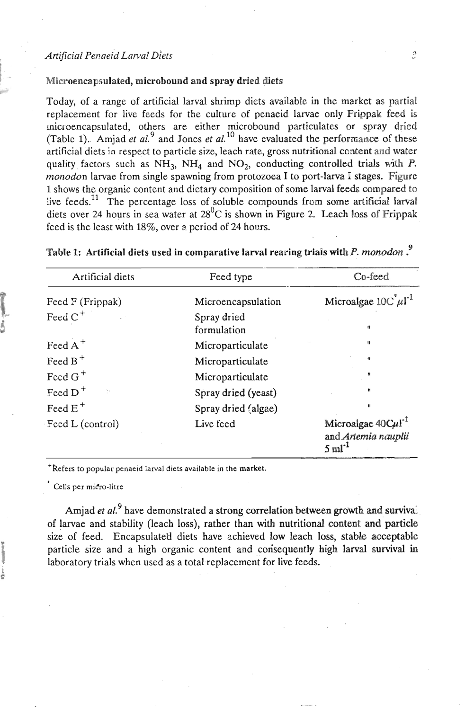### **Artificial Penaeid Larval Diets**

## Microencapsulated, microbound and spray dried diets

Today, of a range of artificial larval shrimp diets available in the market as partial replacement for live feeds for the culture of penaeid larvae only Frippak feed **is**  Inicioencapsulated, others are either microbound particulates or spray dried (Table 1). Amjad et  $al$ <sup>9</sup> and Jones et  $al$ <sup>10</sup> have evaluated the performance of these artificial diets in respect to particle size, leach rate, gross nutritional content and water quality factors such as  $NH_3$ ,  $NH_4$  and  $NO_2$ , conducting controlled trials with *P*. monodon larvae from single spawning from protozoea I to port-larva I stages. Figure 1 shows the organic content and dietary composition of some larval feeds compared to live feeds.<sup>11</sup> The percentage loss of soluble compounds from some artificial larval diets over 24 hours in sea water at 28<sup>0</sup>C is shown in Figure 2. Leach loss of Frippak feed is the least with 18%, over a period of 24 hours.

| Artificial diets         | Feed type                  | Co-feed                                                                       |  |
|--------------------------|----------------------------|-------------------------------------------------------------------------------|--|
| Feed F (Frippak)         | Microencapsulation         | Microalgae $10C^{\dagger} \mu$ l <sup>-1</sup>                                |  |
| Feed $C^+$               | Spray dried<br>formulation | Ħ                                                                             |  |
| Feed $A^+$               | Microparticulate           | $\mathbf{u}$                                                                  |  |
| Feed $B^+$               | Microparticulate           | $\mathbf{H}$                                                                  |  |
| Feed $G^+$               | Microparticulate           | $\mathbf{u}$                                                                  |  |
| Feed $D^+$<br>$\gamma$ . | Spray dried (yeast)        | $\mathbf{H}$                                                                  |  |
| Feed $E^+$               | Spray dried (algae)        | Ħ                                                                             |  |
| Feed L (control)         | Live feed                  | Microalgae $40 \text{Cu}1^{-1}$<br>and Artemia nauplii<br>$5 \text{ ml}^{-1}$ |  |

| Table 1: Artificial diets used in comparative larval rearing trials with P. monodon. <sup>9</sup> |  |  |  |  |  |  |  |  |
|---------------------------------------------------------------------------------------------------|--|--|--|--|--|--|--|--|
|---------------------------------------------------------------------------------------------------|--|--|--|--|--|--|--|--|

**'Refers to popular penaeid larval diets available in the market.** 

**Cells per mifro-litre** 

Amjad *et al.*<sup>9</sup> have demonstrated a strong correlation between growth and survival of larvae and stability (leach loss), rather than with nutritional content and particle size of feed. Encapsulated diets have achieved low leach loss, stable acceptable particle size and a high organic content and corisequently high larval survival in laboratory trials when used as a total replacement for live feeds.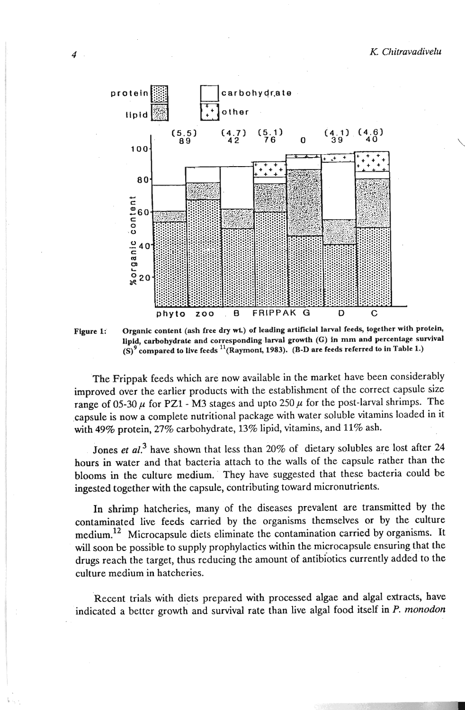

Figure 1: Organic content (ash free dry wt.) of leading artificial larval feeds, together with protein, **lipid, carbohydrate and corresponding-larval growth (G) in mm and percentage survival**   $(S)$ <sup>9</sup> compared to live feeds <sup>11</sup>(Raymont, 1983). (B-D are feeds referred to in Table 1.)

The Frippak feeds which are now available in the market have been considerably improved over the earlier products with the establishment of the correct capsule size range of 05-30  $\mu$  for PZ1 - M3 stages and upto 250  $\mu$  for the post-larval shrimps. The .capsule is now a complete nutritional package with water soluble vitamins loaded in it with 49% protein, 27% carbohydrate, 13% lipid, vitamins, and 11% ash.

Jones et al.<sup>3</sup> have shown that less than 20% of dietary solubles are lost after 24 hours in water and that bacteria attach to the walls of the capsule rather than the blooms in the culture medium. They have suggested that these bacteria could be ingested together with the capsule, contributing toward micronutrients.

In shrimp hatcheries, many of the diseases prevalent are transmitted by the contaminated live feeds carried by the organisms themselves or by the culture medium.<sup>12</sup> Microcapsule diets eliminate the contamination carried by organisms. It will soon be possible to supply prophylactics within the microcapsule ensuring that the drugs reach the target, thus reducing the amount of antibiotics currently added to the culture medium in hatcheries.

Recent trials with diets prepared with processed algae and algal extracts, have indicated a better growth and survival rate than live algal food itself in P. *monodon*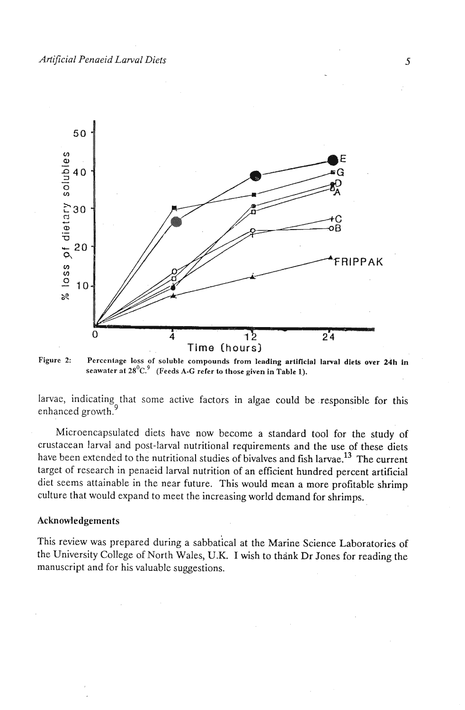

**Figure 2: Percentage loss of soluble compounds from leading artificial larval diets over 24h in**  seawater at 28<sup>0</sup>C.<sup>9</sup> (Feeds A-G refer to those given in Table 1).

larvae, indicating that some active factors in algae could be responsible for this enhanced growth.<sup>9</sup>

Microencapsulated diets have now become a standard tool for the study of crustacean larval and post-larval nutritional requirements and the use of these diets have been extended to the nutritional studies of bivalves and fish larvae.<sup>13</sup> The current target of research in penaeid larval nutrition of an efficient hundred percent artificial diet seems attainable in the near future. This would mean a more profitable shrimp culture that would expand to meet the increasing world demand for shrimps.

### **Acknowledgements**

This review was prepared during a sabbatical at the Marine Science Laboratories of the University College of North Wales, U.K. I wish to thank Dr Jones for reading the manuscript and for his valuable suggestions.